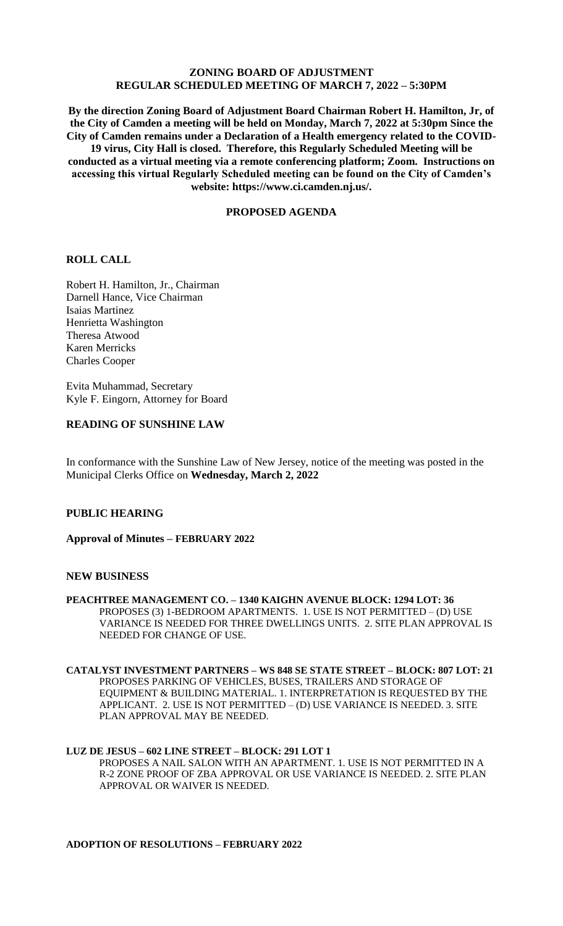### **ZONING BOARD OF ADJUSTMENT REGULAR SCHEDULED MEETING OF MARCH 7, 2022 – 5:30PM**

**By the direction Zoning Board of Adjustment Board Chairman Robert H. Hamilton, Jr, of the City of Camden a meeting will be held on Monday, March 7, 2022 at 5:30pm Since the City of Camden remains under a Declaration of a Health emergency related to the COVID-19 virus, City Hall is closed. Therefore, this Regularly Scheduled Meeting will be conducted as a virtual meeting via a remote conferencing platform; Zoom. Instructions on accessing this virtual Regularly Scheduled meeting can be found on the City of Camden's website: https://www.ci.camden.nj.us/.**

# **PROPOSED AGENDA**

### **ROLL CALL**

Robert H. Hamilton, Jr., Chairman Darnell Hance, Vice Chairman Isaias Martinez Henrietta Washington Theresa Atwood Karen Merricks Charles Cooper

Evita Muhammad, Secretary Kyle F. Eingorn, Attorney for Board

# **READING OF SUNSHINE LAW**

In conformance with the Sunshine Law of New Jersey, notice of the meeting was posted in the Municipal Clerks Office on **Wednesday, March 2, 2022**

### **PUBLIC HEARING**

**Approval of Minutes – FEBRUARY 2022**

### **NEW BUSINESS**

- **PEACHTREE MANAGEMENT CO. – 1340 KAIGHN AVENUE BLOCK: 1294 LOT: 36** PROPOSES (3) 1-BEDROOM APARTMENTS. 1. USE IS NOT PERMITTED – (D) USE VARIANCE IS NEEDED FOR THREE DWELLINGS UNITS. 2. SITE PLAN APPROVAL IS NEEDED FOR CHANGE OF USE.
- **CATALYST INVESTMENT PARTNERS – WS 848 SE STATE STREET – BLOCK: 807 LOT: 21** PROPOSES PARKING OF VEHICLES, BUSES, TRAILERS AND STORAGE OF EQUIPMENT & BUILDING MATERIAL. 1. INTERPRETATION IS REQUESTED BY THE APPLICANT. 2. USE IS NOT PERMITTED – (D) USE VARIANCE IS NEEDED. 3. SITE PLAN APPROVAL MAY BE NEEDED.

#### **LUZ DE JESUS – 602 LINE STREET – BLOCK: 291 LOT 1**

PROPOSES A NAIL SALON WITH AN APARTMENT. 1. USE IS NOT PERMITTED IN A R-2 ZONE PROOF OF ZBA APPROVAL OR USE VARIANCE IS NEEDED. 2. SITE PLAN APPROVAL OR WAIVER IS NEEDED.

#### **ADOPTION OF RESOLUTIONS – FEBRUARY 2022**